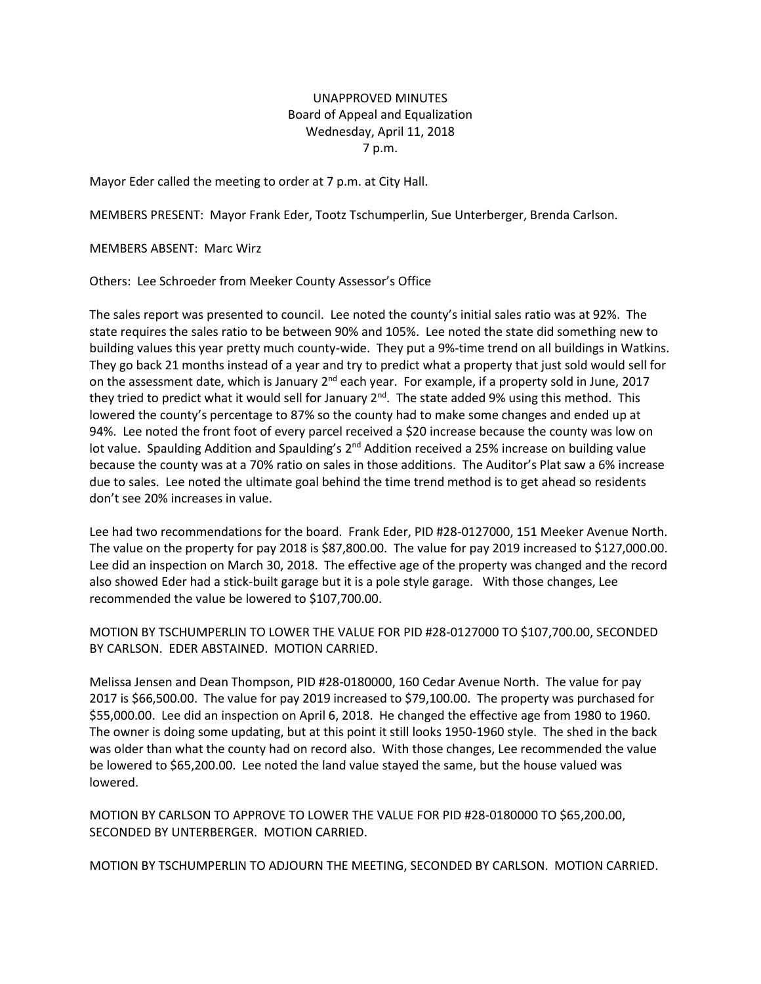## UNAPPROVED MINUTES Board of Appeal and Equalization Wednesday, April 11, 2018 7 p.m.

Mayor Eder called the meeting to order at 7 p.m. at City Hall.

MEMBERS PRESENT: Mayor Frank Eder, Tootz Tschumperlin, Sue Unterberger, Brenda Carlson.

MEMBERS ABSENT: Marc Wirz

Others: Lee Schroeder from Meeker County Assessor's Office

The sales report was presented to council. Lee noted the county's initial sales ratio was at 92%. The state requires the sales ratio to be between 90% and 105%. Lee noted the state did something new to building values this year pretty much county-wide. They put a 9%-time trend on all buildings in Watkins. They go back 21 months instead of a year and try to predict what a property that just sold would sell for on the assessment date, which is January  $2^{nd}$  each year. For example, if a property sold in June, 2017 they tried to predict what it would sell for January 2<sup>nd</sup>. The state added 9% using this method. This lowered the county's percentage to 87% so the county had to make some changes and ended up at 94%. Lee noted the front foot of every parcel received a \$20 increase because the county was low on lot value. Spaulding Addition and Spaulding's 2<sup>nd</sup> Addition received a 25% increase on building value because the county was at a 70% ratio on sales in those additions. The Auditor's Plat saw a 6% increase due to sales. Lee noted the ultimate goal behind the time trend method is to get ahead so residents don't see 20% increases in value.

Lee had two recommendations for the board. Frank Eder, PID #28-0127000, 151 Meeker Avenue North. The value on the property for pay 2018 is \$87,800.00. The value for pay 2019 increased to \$127,000.00. Lee did an inspection on March 30, 2018. The effective age of the property was changed and the record also showed Eder had a stick-built garage but it is a pole style garage. With those changes, Lee recommended the value be lowered to \$107,700.00.

MOTION BY TSCHUMPERLIN TO LOWER THE VALUE FOR PID #28-0127000 TO \$107,700.00, SECONDED BY CARLSON. EDER ABSTAINED. MOTION CARRIED.

Melissa Jensen and Dean Thompson, PID #28-0180000, 160 Cedar Avenue North. The value for pay 2017 is \$66,500.00. The value for pay 2019 increased to \$79,100.00. The property was purchased for \$55,000.00. Lee did an inspection on April 6, 2018. He changed the effective age from 1980 to 1960. The owner is doing some updating, but at this point it still looks 1950-1960 style. The shed in the back was older than what the county had on record also. With those changes, Lee recommended the value be lowered to \$65,200.00. Lee noted the land value stayed the same, but the house valued was lowered.

MOTION BY CARLSON TO APPROVE TO LOWER THE VALUE FOR PID #28-0180000 TO \$65,200.00, SECONDED BY UNTERBERGER. MOTION CARRIED.

MOTION BY TSCHUMPERLIN TO ADJOURN THE MEETING, SECONDED BY CARLSON. MOTION CARRIED.